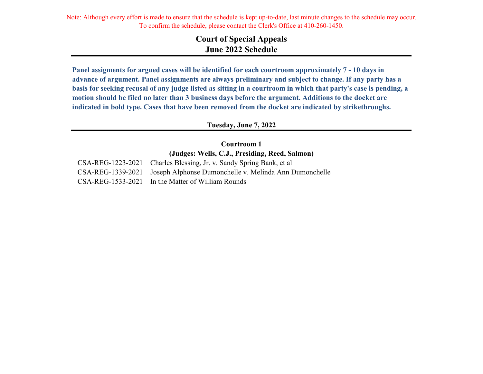Note: Although every effort is made to ensure that the schedule is kept up-to-date, last minute changes to the schedule may occur. To confirm the schedule, please contact the Clerk's Office at 410-260-1450.

# **Court of Special Appeals June 2022 Schedule**

**Panel assigments for argued cases will be identified for each courtroom approximately 7 - 10 days in advance of argument. Panel assignments are always preliminary and subject to change. If any party has a basis for seeking recusal of any judge listed as sitting in a courtroom in which that party's case is pending, a motion should be filed no later than 3 business days before the argument. Additions to the docket are indicated in bold type. Cases that have been removed from the docket are indicated by strikethroughs.**

**Tuesday, June 7, 2022**

**Courtroom 1 (Judges: Wells, C.J., Presiding, Reed, Salmon)**

CSA-REG-1223-2021 Charles Blessing, Jr. v. Sandy Spring Bank, et al CSA-REG-1339-2021 Joseph Alphonse Dumonchelle v. Melinda Ann Dumonchelle CSA-REG-1533-2021 In the Matter of William Rounds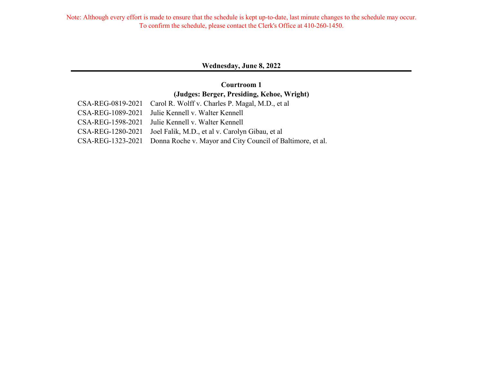#### **Wednesday, June 8, 2022**

# **(Judges: Berger, Presiding, Kehoe, Wright) Courtroom 1**

| CSA-REG-0819-2021 Carol R. Wolff v. Charles P. Magal, M.D., et al            |
|------------------------------------------------------------------------------|
| CSA-REG-1089-2021 Julie Kennell v. Walter Kennell                            |
| CSA-REG-1598-2021 Julie Kennell v. Walter Kennell                            |
| CSA-REG-1280-2021 Joel Falik, M.D., et al v. Carolyn Gibau, et al            |
| CSA-REG-1323-2021 Donna Roche v. Mayor and City Council of Baltimore, et al. |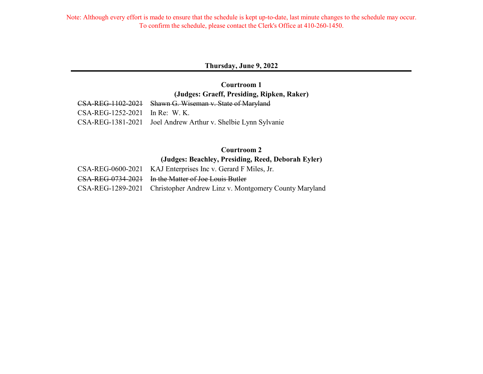Note: Although every effort is made to ensure that the schedule is kept up-to-date, last minute changes to the schedule may occur. To confirm the schedule, please contact the Clerk's Office at 410-260-1450.

**Thursday, June 9, 2022**

CSA-REG-1102-2021 Shawn G. Wiseman v. State of Maryland **Courtroom 1 (Judges: Graeff, Presiding, Ripken, Raker)**

|                                | CONTRECTIVE 2021 DRAWIL C. MISCHIGH V. DIGIC OF IMALYIGHT     |
|--------------------------------|---------------------------------------------------------------|
| CSA-REG-1252-2021 In Re: W. K. |                                                               |
|                                | CSA-REG-1381-2021 Joel Andrew Arthur v. Shelbie Lynn Sylvanie |

# **Courtroom 2 (Judges: Beachley, Presiding, Reed, Deborah Eyler)**

| CSA-REG-0600-2021 KAJ Enterprises Inc v. Gerard F Miles, Jr.            |
|-------------------------------------------------------------------------|
| CSA-REG-0734-2021 In the Matter of Joe Louis Butler                     |
| CSA-REG-1289-2021 Christopher Andrew Linz v. Montgomery County Maryland |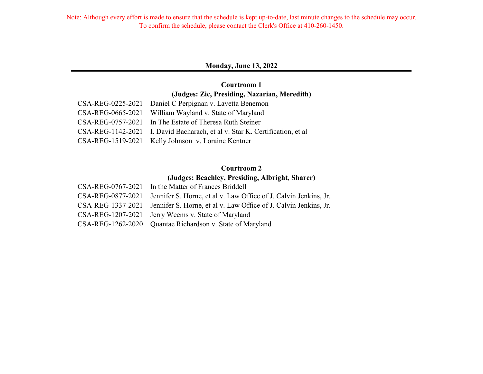#### **Monday, June 13, 2022**

# **Courtroom 1 (Judges: Zic, Presiding, Nazarian, Meredith)**

| CSA-REG-0225-2021 Daniel C Perpignan v. Lavetta Benemon                     |
|-----------------------------------------------------------------------------|
| CSA-REG-0665-2021 William Wayland v. State of Maryland                      |
| CSA-REG-0757-2021 In The Estate of Theresa Ruth Steiner                     |
| CSA-REG-1142-2021 I. David Bacharach, et al v. Star K. Certification, et al |
| CSA-REG-1519-2021 Kelly Johnson v. Loraine Kentner                          |

# **Courtroom 2**

### **(Judges: Beachley, Presiding, Albright, Sharer)**

| CSA-REG-0767-2021 In the Matter of Frances Briddell                                |
|------------------------------------------------------------------------------------|
| CSA-REG-0877-2021 Jennifer S. Horne, et al v. Law Office of J. Calvin Jenkins, Jr. |
| CSA-REG-1337-2021 Jennifer S. Horne, et al v. Law Office of J. Calvin Jenkins, Jr. |
| CSA-REG-1207-2021 Jerry Weems v. State of Maryland                                 |
| CSA-REG-1262-2020 Quantae Richardson v. State of Maryland                          |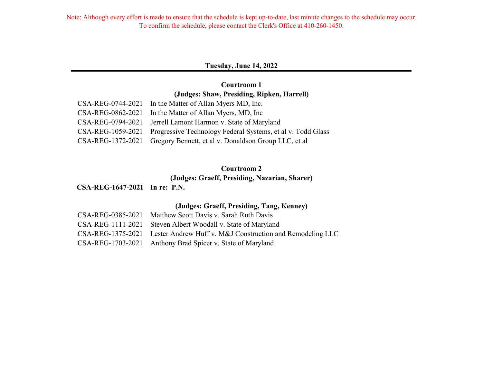### **Tuesday, June 14, 2022**

### **Courtroom 1 (Judges: Shaw, Presiding, Ripken, Harrell)**

| CSA-REG-0744-2021 In the Matter of Allan Myers MD, Inc.                       |
|-------------------------------------------------------------------------------|
| CSA-REG-0862-2021 In the Matter of Allan Myers, MD, Inc                       |
| CSA-REG-0794-2021 Jerrell Lamont Harmon v. State of Maryland                  |
| CSA-REG-1059-2021 Progressive Technology Federal Systems, et al v. Todd Glass |
| CSA-REG-1372-2021 Gregory Bennett, et al v. Donaldson Group LLC, et al        |

## **Courtroom 2**

# **(Judges: Graeff, Presiding, Nazarian, Sharer)**

## **CSA-REG-1647-2021 In re: P.N.**

### **(Judges: Graeff, Presiding, Tang, Kenney)**

| CSA-REG-0385-2021 Matthew Scott Davis v. Sarah Ruth Davis                   |
|-----------------------------------------------------------------------------|
| CSA-REG-1111-2021 Steven Albert Woodall v. State of Maryland                |
| CSA-REG-1375-2021 Lester Andrew Huff v. M&J Construction and Remodeling LLC |
| CSA-REG-1703-2021 Anthony Brad Spicer v. State of Maryland                  |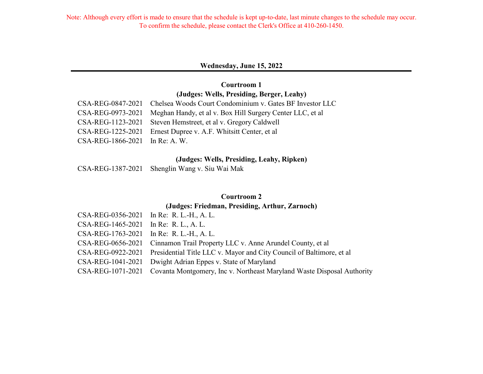#### **Wednesday, June 15, 2022**

### **Courtroom 1 (Judges: Wells, Presiding, Berger, Leahy)**

|                                  | CSA-REG-0847-2021 Chelsea Woods Court Condominium v. Gates BF Investor LLC  |
|----------------------------------|-----------------------------------------------------------------------------|
|                                  | CSA-REG-0973-2021 Meghan Handy, et al v. Box Hill Surgery Center LLC, et al |
|                                  | CSA-REG-1123-2021 Steven Hemstreet, et al v. Gregory Caldwell               |
|                                  | CSA-REG-1225-2021 Ernest Dupree v. A.F. Whitsitt Center, et al              |
| $CSA-REG-1866-2021$ In Re: A. W. |                                                                             |

#### **(Judges: Wells, Presiding, Leahy, Ripken)**

|  | CSA-REG-1387-2021 Shenglin Wang v. Siu Wai Mak |
|--|------------------------------------------------|
|--|------------------------------------------------|

### **Courtroom 2**

#### **(Judges: Friedman, Presiding, Arthur, Zarnoch)**

| CSA-REG-0356-2021 In Re: R. L.-H., A. L.                                                 |
|------------------------------------------------------------------------------------------|
| CSA-REG-1465-2021 In Re: R. L., A. L.                                                    |
| CSA-REG-1763-2021 In Re: R. L.-H., A. L.                                                 |
| CSA-REG-0656-2021 Cinnamon Trail Property LLC v. Anne Arundel County, et al              |
| CSA-REG-0922-2021 Presidential Title LLC v. Mayor and City Council of Baltimore, et al   |
| CSA-REG-1041-2021 Dwight Adrian Eppes v. State of Maryland                               |
| CSA-REG-1071-2021 Covanta Montgomery, Inc v. Northeast Maryland Waste Disposal Authority |
|                                                                                          |